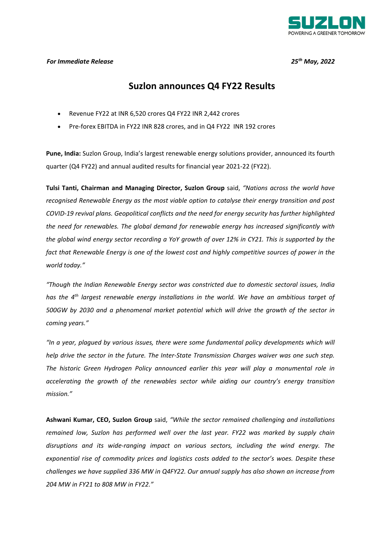

## *For Immediate Release 25th May, 2022*

# **Suzlon announces Q4 FY22 Results**

- Revenue FY22 at INR 6,520 crores Q4 FY22 INR 2,442 crores
- Pre-forex EBITDA in FY22 INR 828 crores, and in Q4 FY22 INR 192 crores

**Pune, India:** Suzlon Group, India's largest renewable energy solutions provider, announced its fourth quarter (Q4 FY22) and annual audited results for financial year 2021-22 (FY22).

**Tulsi Tanti, Chairman and Managing Director, Suzlon Group** said, *"Nations across the world have recognised Renewable Energy as the most viable option to catalyse their energy transition and post COVID-19 revival plans. Geopolitical conflicts and the need for energy security has further highlighted the need for renewables. The global demand for renewable energy has increased significantly with the global wind energy sector recording a YoY growth of over 12% in CY21. This is supported by the fact that Renewable Energy is one of the lowest cost and highly competitive sources of power in the world today."* 

*"Though the Indian Renewable Energy sector was constricted due to domestic sectoral issues, India has the 4th largest renewable energy installations in the world. We have an ambitious target of 500GW by 2030 and a phenomenal market potential which will drive the growth of the sector in coming years."* 

*"In a year, plagued by various issues, there were some fundamental policy developments which will help drive the sector in the future. The Inter-State Transmission Charges waiver was one such step. The historic Green Hydrogen Policy announced earlier this year will play a monumental role in accelerating the growth of the renewables sector while aiding our country's energy transition mission."* 

**Ashwani Kumar, CEO, Suzlon Group** said, *"While the sector remained challenging and installations remained low, Suzlon has performed well over the last year. FY22 was marked by supply chain disruptions and its wide-ranging impact on various sectors, including the wind energy. The exponential rise of commodity prices and logistics costs added to the sector's woes. Despite these challenges we have supplied 336 MW in Q4FY22. Our annual supply has also shown an increase from 204 MW in FY21 to 808 MW in FY22."*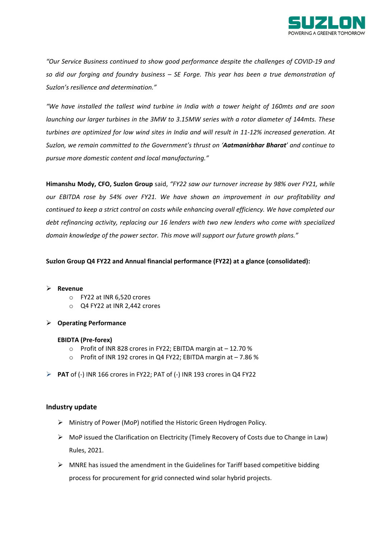

*"Our Service Business continued to show good performance despite the challenges of COVID-19 and so did our forging and foundry business – SE Forge. This year has been a true demonstration of Suzlon's resilience and determination."* 

*"We have installed the tallest wind turbine in India with a tower height of 160mts and are soon launching our larger turbines in the 3MW to 3.15MW series with a rotor diameter of 144mts. These turbines are optimized for low wind sites in India and will result in 11-12% increased generation. At Suzlon, we remain committed to the Government's thrust on 'Aatmanirbhar Bharat' and continue to pursue more domestic content and local manufacturing."* 

**Himanshu Mody, CFO, Suzlon Group** said, *"FY22 saw our turnover increase by 98% over FY21, while our EBITDA rose by 54% over FY21. We have shown an improvement in our profitability and continued to keep a strict control on costs while enhancing overall efficiency. We have completed our debt refinancing activity, replacing our 16 lenders with two new lenders who come with specialized domain knowledge of the power sector. This move will support our future growth plans."* 

### **Suzlon Group Q4 FY22 and Annual financial performance (FY22) at a glance (consolidated):**

### **Revenue**

- o FY22 at INR 6,520 crores
- o Q4 FY22 at INR 2,442 crores
- **Operating Performance**

#### **EBIDTA (Pre-forex)**

- $\circ$  Profit of INR 828 crores in FY22; EBITDA margin at  $-12.70$  %
- o Profit of INR 192 crores in Q4 FY22; EBITDA margin at 7.86 %
- **PAT** of (-) INR 166 crores in FY22; PAT of (-) INR 193 crores in Q4 FY22

### **Industry update**

- Ministry of Power (MoP) notified the Historic Green Hydrogen Policy.
- $\triangleright$  MoP issued the Clarification on Electricity (Timely Recovery of Costs due to Change in Law) Rules, 2021.
- $\triangleright$  MNRE has issued the amendment in the Guidelines for Tariff based competitive bidding process for procurement for grid connected wind solar hybrid projects.